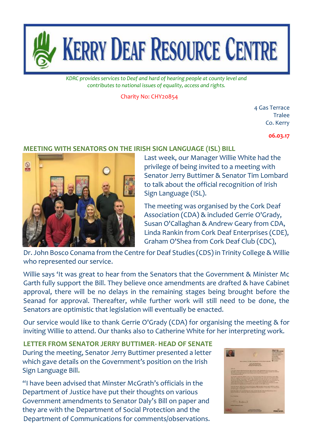

*KDRC provides services to Deaf and hard of hearing people at county level and contributes to national issues of equality, access and rights.*

Charity No: CHY20854

4 Gas Terrace **Tralee** Co. Kerry

**06.03.17**

## **MEETING WITH SENATORS ON THE IRISH SIGN LANGUAGE (ISL) BILL**



Last week, our Manager Willie White had the privilege of being invited to a meeting with Senator Jerry Buttimer & Senator Tim Lombard to talk about the official recognition of Irish Sign Language (ISL).

The meeting was organised by the Cork Deaf Association (CDA) & included Gerrie O'Grady, Susan O'Callaghan & Andrew Geary from CDA, Linda Rankin from Cork Deaf Enterprises (CDE), Graham O'Shea from Cork Deaf Club (CDC),

Dr. John Bosco Conama from the Centre for Deaf Studies (CDS) in Trinity College & Willie who represented our service.

Willie says 'It was great to hear from the Senators that the Government & Minister Mc Garth fully support the Bill. They believe once amendments are drafted & have Cabinet approval, there will be no delays in the remaining stages being brought before the Seanad for approval. Thereafter, while further work will still need to be done, the Senators are optimistic that legislation will eventually be enacted.

Our service would like to thank Gerrie O'Grady (CDA) for organising the meeting & for inviting Willie to attend. Our thanks also to Catherine White for her interpreting work.

**LETTER FROM SENATOR JERRY BUTTIMER- HEAD OF SENATE** During the meeting, Senator Jerry Buttimer presented a letter which gave details on the Government's position on the Irish Sign Language Bill**.**

"I have been advised that Minster McGrath's officials in the Department of Justice have put their thoughts on various Government amendments to Senator Daly's Bill on paper and they are with the Department of Social Protection and the Department of Communications for comments/observations.